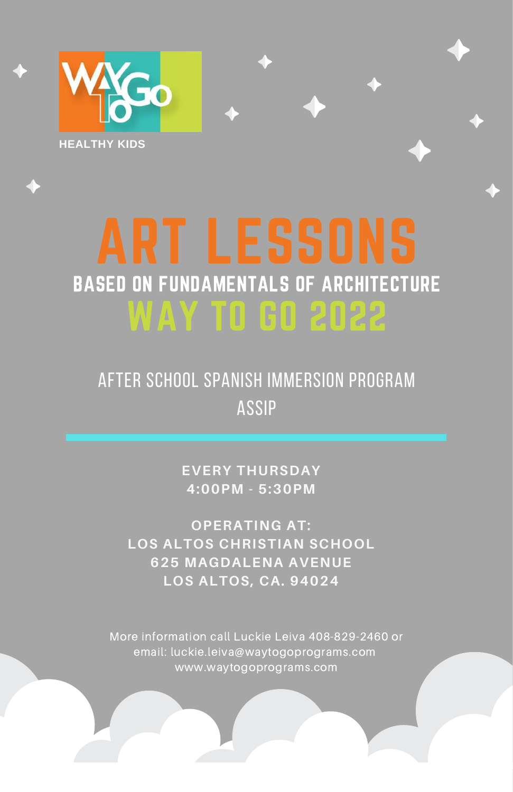

## BASED ON FUNDAMENTALS OF ARCHITECTURE WAY TO GO 2022

AFTER SCHOOL SPANISH IMMERSION PROGRAM assip

> **EVERY THURSDAY 4:00PM - 5:30PM**

**OPERATING AT: LOS ALTOS CHRISTIAN SCHOOL 625 MAGDALENA AVENUE LOS ALTOS, CA. 94024**

More information call Luckie Leiva 408-829-2460 or email: luckie.leiva@waytogoprograms.com www.waytogoprograms.com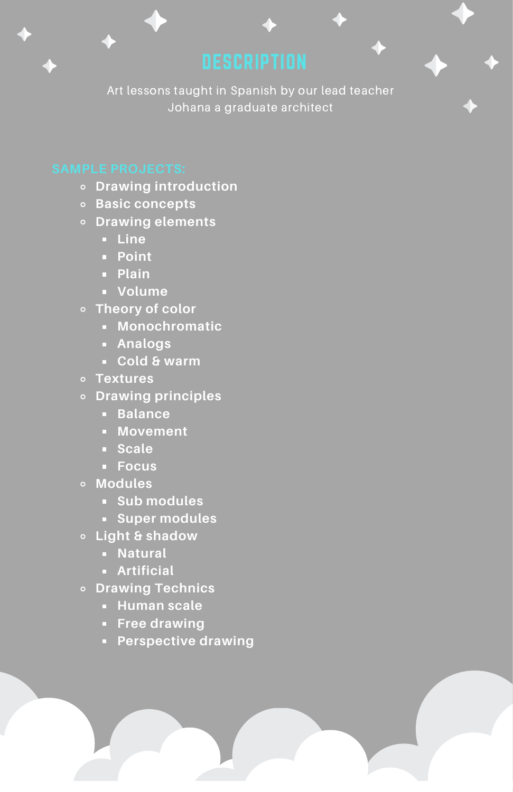Art lessons taught in Spanish by our lead teacher Johana a graduate architect

- **Drawing introduction**
- **Basic concepts**
- **Drawing elements**
	- **Line**
	- **Point**
	- **Plain**
	- **Volume**
- **Theory of color**
	- **Monochromatic**
	- **Analogs**
	- **Cold & warm**
- **Textures**
- **Drawing principles**
	- **Balance**
	- **Movement**
	- **Scale**
	- **Focus**
- **Modules**
	- **Sub modules**
	- **Super modules**
- **Light & shadow**
	- **Natural**
	- **Artificial**
- **Drawing Technics**
	- **Human scale**
	- **Free drawing**
	- **Perspective drawing**